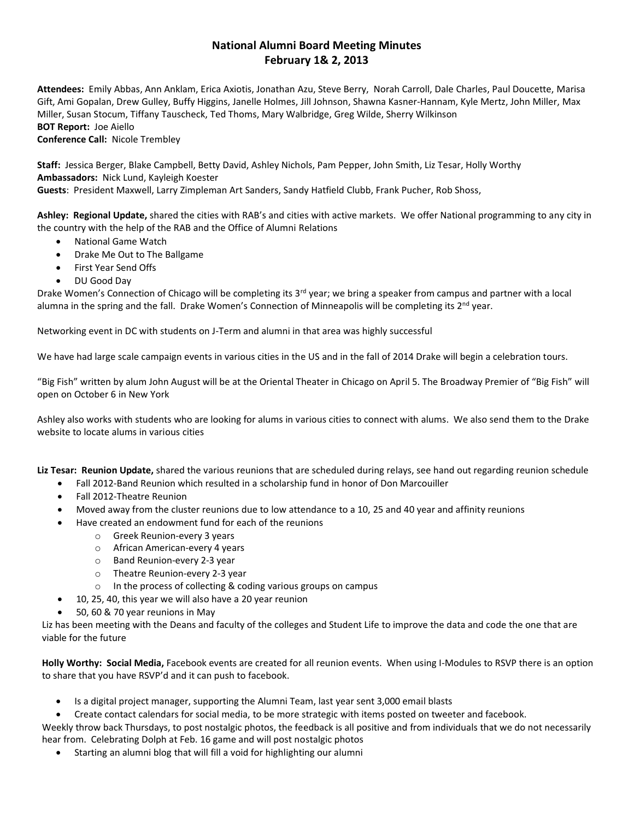# **National Alumni Board Meeting Minutes February 1& 2, 2013**

**Attendees:** Emily Abbas, Ann Anklam, Erica Axiotis, Jonathan Azu, Steve Berry, Norah Carroll, Dale Charles, Paul Doucette, Marisa Gift, Ami Gopalan, Drew Gulley, Buffy Higgins, Janelle Holmes, Jill Johnson, Shawna Kasner-Hannam, Kyle Mertz, John Miller, Max Miller, Susan Stocum, Tiffany Tauscheck, Ted Thoms, Mary Walbridge, Greg Wilde, Sherry Wilkinson **BOT Report:** Joe Aiello

**Conference Call:** Nicole Trembley

**Staff:** Jessica Berger, Blake Campbell, Betty David, Ashley Nichols, Pam Pepper, John Smith, Liz Tesar, Holly Worthy **Ambassadors:** Nick Lund, Kayleigh Koester **Guests**: President Maxwell, Larry Zimpleman Art Sanders, Sandy Hatfield Clubb, Frank Pucher, Rob Shoss,

**Ashley: Regional Update,** shared the cities with RAB's and cities with active markets. We offer National programming to any city in the country with the help of the RAB and the Office of Alumni Relations

- National Game Watch
- Drake Me Out to The Ballgame
- First Year Send Offs
- DU Good Day

Drake Women's Connection of Chicago will be completing its  $3^{rd}$  year; we bring a speaker from campus and partner with a local alumna in the spring and the fall. Drake Women's Connection of Minneapolis will be completing its 2<sup>nd</sup> year.

Networking event in DC with students on J-Term and alumni in that area was highly successful

We have had large scale campaign events in various cities in the US and in the fall of 2014 Drake will begin a celebration tours.

"Big Fish" written by alum John August will be at the Oriental Theater in Chicago on April 5. The Broadway Premier of "Big Fish" will open on October 6 in New York

Ashley also works with students who are looking for alums in various cities to connect with alums. We also send them to the Drake website to locate alums in various cities

**Liz Tesar: Reunion Update,** shared the various reunions that are scheduled during relays, see hand out regarding reunion schedule

- Fall 2012-Band Reunion which resulted in a scholarship fund in honor of Don Marcouiller
- Fall 2012-Theatre Reunion
- Moved away from the cluster reunions due to low attendance to a 10, 25 and 40 year and affinity reunions
- Have created an endowment fund for each of the reunions
	- o Greek Reunion-every 3 years
	- o African American-every 4 years
	- o Band Reunion-every 2-3 year
	- o Theatre Reunion-every 2-3 year
	- o In the process of collecting & coding various groups on campus
- 10, 25, 40, this year we will also have a 20 year reunion
- 50, 60 & 70 year reunions in May

Liz has been meeting with the Deans and faculty of the colleges and Student Life to improve the data and code the one that are viable for the future

**Holly Worthy: Social Media,** Facebook events are created for all reunion events. When using I-Modules to RSVP there is an option to share that you have RSVP'd and it can push to facebook.

• Is a digital project manager, supporting the Alumni Team, last year sent 3,000 email blasts

• Create contact calendars for social media, to be more strategic with items posted on tweeter and facebook. Weekly throw back Thursdays, to post nostalgic photos, the feedback is all positive and from individuals that we do not necessarily hear from. Celebrating Dolph at Feb. 16 game and will post nostalgic photos

• Starting an alumni blog that will fill a void for highlighting our alumni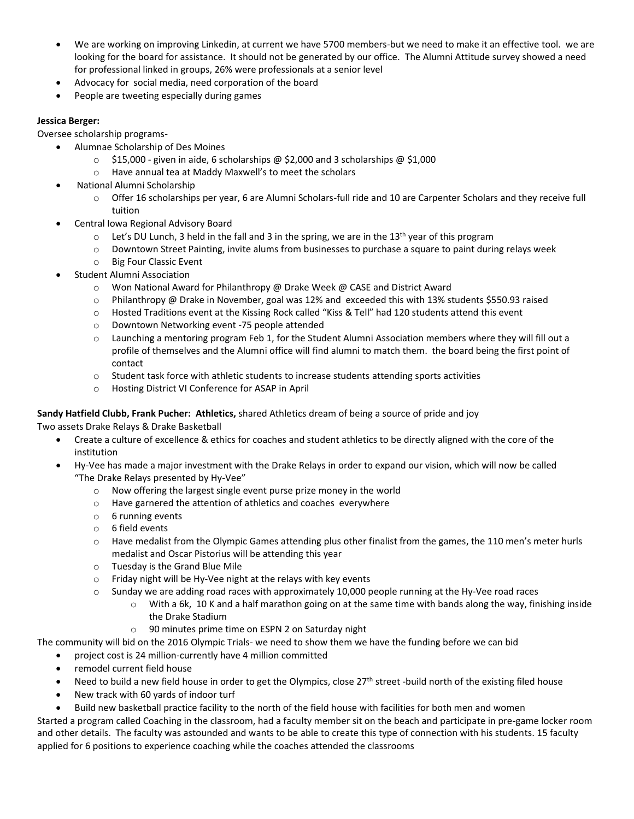- We are working on improving Linkedin, at current we have 5700 members-but we need to make it an effective tool. we are looking for the board for assistance. It should not be generated by our office. The Alumni Attitude survey showed a need for professional linked in groups, 26% were professionals at a senior level
- Advocacy for social media, need corporation of the board
- People are tweeting especially during games

## **Jessica Berger:**

Oversee scholarship programs-

- Alumnae Scholarship of Des Moines
	- o \$15,000 given in aide, 6 scholarships @ \$2,000 and 3 scholarships @ \$1,000
	- o Have annual tea at Maddy Maxwell's to meet the scholars
- National Alumni Scholarship
	- o Offer 16 scholarships per year, 6 are Alumni Scholars-full ride and 10 are Carpenter Scholars and they receive full tuition
- Central Iowa Regional Advisory Board
	- $\circ$  Let's DU Lunch, 3 held in the fall and 3 in the spring, we are in the 13<sup>th</sup> year of this program
	- o Downtown Street Painting, invite alums from businesses to purchase a square to paint during relays week
	- o Big Four Classic Event
- Student Alumni Association
	- o Won National Award for Philanthropy @ Drake Week @ CASE and District Award
	- o Philanthropy @ Drake in November, goal was 12% and exceeded this with 13% students \$550.93 raised
	- o Hosted Traditions event at the Kissing Rock called "Kiss & Tell" had 120 students attend this event
	- o Downtown Networking event -75 people attended
	- $\circ$  Launching a mentoring program Feb 1, for the Student Alumni Association members where they will fill out a profile of themselves and the Alumni office will find alumni to match them. the board being the first point of contact
	- $\circ$  Student task force with athletic students to increase students attending sports activities
	- o Hosting District VI Conference for ASAP in April

## **Sandy Hatfield Clubb, Frank Pucher: Athletics,** shared Athletics dream of being a source of pride and joy

Two assets Drake Relays & Drake Basketball

- Create a culture of excellence & ethics for coaches and student athletics to be directly aligned with the core of the institution
- Hy-Vee has made a major investment with the Drake Relays in order to expand our vision, which will now be called "The Drake Relays presented by Hy-Vee"
	- o Now offering the largest single event purse prize money in the world
	- o Have garnered the attention of athletics and coaches everywhere
	- o 6 running events
	- o 6 field events
	- o Have medalist from the Olympic Games attending plus other finalist from the games, the 110 men's meter hurls medalist and Oscar Pistorius will be attending this year
	- o Tuesday is the Grand Blue Mile
	- o Friday night will be Hy-Vee night at the relays with key events
	- $\circ$  Sunday we are adding road races with approximately 10,000 people running at the Hy-Vee road races
		- $\circ$  With a 6k, 10 K and a half marathon going on at the same time with bands along the way, finishing inside the Drake Stadium
			- o 90 minutes prime time on ESPN 2 on Saturday night

The community will bid on the 2016 Olympic Trials- we need to show them we have the funding before we can bid

- project cost is 24 million-currently have 4 million committed
- remodel current field house
- Need to build a new field house in order to get the Olympics, close 27<sup>th</sup> street -build north of the existing filed house
- New track with 60 yards of indoor turf
- Build new basketball practice facility to the north of the field house with facilities for both men and women

Started a program called Coaching in the classroom, had a faculty member sit on the beach and participate in pre-game locker room and other details. The faculty was astounded and wants to be able to create this type of connection with his students. 15 faculty applied for 6 positions to experience coaching while the coaches attended the classrooms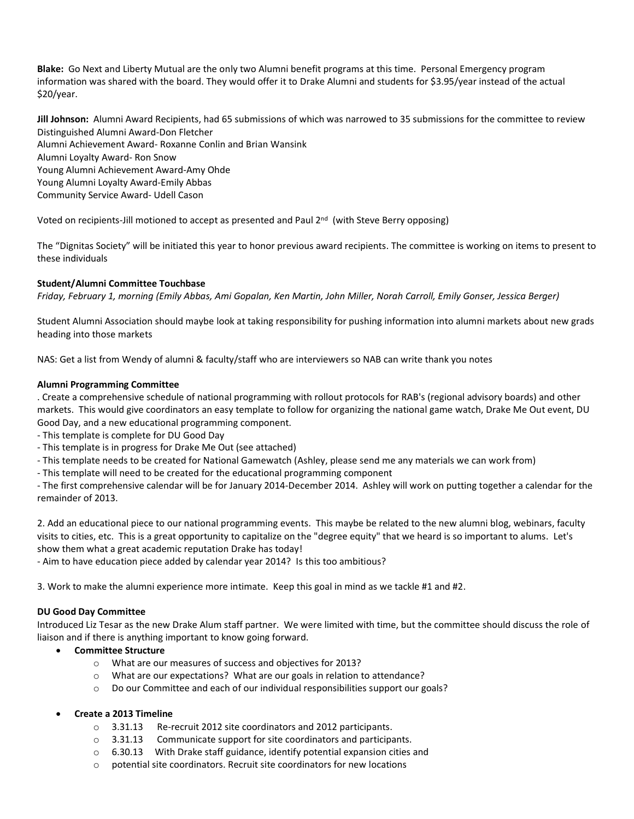**Blake:** Go Next and Liberty Mutual are the only two Alumni benefit programs at this time. Personal Emergency program information was shared with the board. They would offer it to Drake Alumni and students for \$3.95/year instead of the actual \$20/year.

**Jill Johnson:** Alumni Award Recipients, had 65 submissions of which was narrowed to 35 submissions for the committee to review Distinguished Alumni Award-Don Fletcher Alumni Achievement Award- Roxanne Conlin and Brian Wansink Alumni Loyalty Award- Ron Snow Young Alumni Achievement Award-Amy Ohde Young Alumni Loyalty Award-Emily Abbas Community Service Award- Udell Cason

Voted on recipients-Jill motioned to accept as presented and Paul 2<sup>nd</sup> (with Steve Berry opposing)

The "Dignitas Society" will be initiated this year to honor previous award recipients. The committee is working on items to present to these individuals

### **Student/Alumni Committee Touchbase**

*Friday, February 1, morning (Emily Abbas, Ami Gopalan, Ken Martin, John Miller, Norah Carroll, Emily Gonser, Jessica Berger)*

Student Alumni Association should maybe look at taking responsibility for pushing information into alumni markets about new grads heading into those markets

NAS: Get a list from Wendy of alumni & faculty/staff who are interviewers so NAB can write thank you notes

#### **Alumni Programming Committee**

. Create a comprehensive schedule of national programming with rollout protocols for RAB's (regional advisory boards) and other markets. This would give coordinators an easy template to follow for organizing the national game watch, Drake Me Out event, DU Good Day, and a new educational programming component.

- This template is complete for DU Good Day
- This template is in progress for Drake Me Out (see attached)
- This template needs to be created for National Gamewatch (Ashley, please send me any materials we can work from)
- This template will need to be created for the educational programming component

- The first comprehensive calendar will be for January 2014-December 2014. Ashley will work on putting together a calendar for the remainder of 2013.

2. Add an educational piece to our national programming events. This maybe be related to the new alumni blog, webinars, faculty visits to cities, etc. This is a great opportunity to capitalize on the "degree equity" that we heard is so important to alums. Let's show them what a great academic reputation Drake has today!

- Aim to have education piece added by calendar year 2014? Is this too ambitious?

3. Work to make the alumni experience more intimate. Keep this goal in mind as we tackle #1 and #2.

#### **DU Good Day Committee**

Introduced Liz Tesar as the new Drake Alum staff partner. We were limited with time, but the committee should discuss the role of liaison and if there is anything important to know going forward.

- **Committee Structure** 
	- o What are our measures of success and objectives for 2013?
	- o What are our expectations? What are our goals in relation to attendance?
	- o Do our Committee and each of our individual responsibilities support our goals?

#### • **Create a 2013 Timeline**

- o 3.31.13 Re-recruit 2012 site coordinators and 2012 participants.
- o 3.31.13 Communicate support for site coordinators and participants.
- $\circ$  6.30.13 With Drake staff guidance, identify potential expansion cities and
- $\circ$  potential site coordinators. Recruit site coordinators for new locations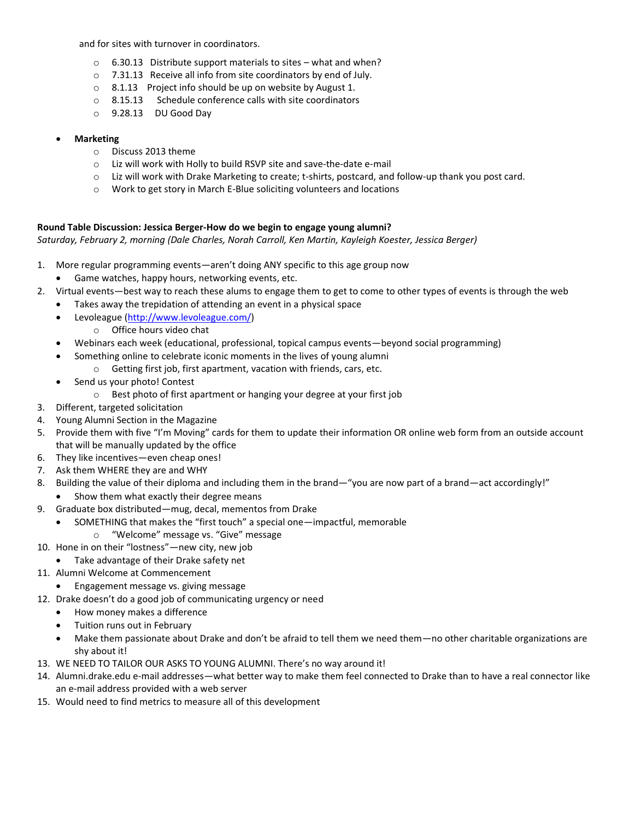and for sites with turnover in coordinators.

- $\circ$  6.30.13 Distribute support materials to sites what and when?
- o 7.31.13 Receive all info from site coordinators by end of July.
- o 8.1.13 Project info should be up on website by August 1.
- o 8.15.13 Schedule conference calls with site coordinators
- o 9.28.13 DU Good Day
- **Marketing** 
	- o Discuss 2013 theme
	- o Liz will work with Holly to build RSVP site and save-the-date e-mail
	- o Liz will work with Drake Marketing to create; t-shirts, postcard, and follow-up thank you post card.
	- o Work to get story in March E-Blue soliciting volunteers and locations

## **Round Table Discussion: Jessica Berger-How do we begin to engage young alumni?**

*Saturday, February 2, morning (Dale Charles, Norah Carroll, Ken Martin, Kayleigh Koester, Jessica Berger)*

- 1. More regular programming events—aren't doing ANY specific to this age group now
	- Game watches, happy hours, networking events, etc.
- 2. Virtual events—best way to reach these alums to engage them to get to come to other types of events is through the web
	- Takes away the trepidation of attending an event in a physical space
	- Levoleague [\(http://www.levoleague.com/\)](http://www.levoleague.com/)
		- o Office hours video chat
	- Webinars each week (educational, professional, topical campus events—beyond social programming)
		- Something online to celebrate iconic moments in the lives of young alumni
			- o Getting first job, first apartment, vacation with friends, cars, etc.
	- Send us your photo! Contest
		- o Best photo of first apartment or hanging your degree at your first job
- 3. Different, targeted solicitation
- 4. Young Alumni Section in the Magazine
- 5. Provide them with five "I'm Moving" cards for them to update their information OR online web form from an outside account that will be manually updated by the office
- 6. They like incentives—even cheap ones!
- 7. Ask them WHERE they are and WHY
- 8. Building the value of their diploma and including them in the brand—"you are now part of a brand—act accordingly!"
	- Show them what exactly their degree means
- 9. Graduate box distributed—mug, decal, mementos from Drake
	- SOMETHING that makes the "first touch" a special one—impactful, memorable
		- o "Welcome" message vs. "Give" message
- 10. Hone in on their "lostness"—new city, new job
	- Take advantage of their Drake safety net
- 11. Alumni Welcome at Commencement
	- Engagement message vs. giving message
- 12. Drake doesn't do a good job of communicating urgency or need
	- How money makes a difference
	- Tuition runs out in February
	- Make them passionate about Drake and don't be afraid to tell them we need them—no other charitable organizations are shy about it!
- 13. WE NEED TO TAILOR OUR ASKS TO YOUNG ALUMNI. There's no way around it!
- 14. Alumni.drake.edu e-mail addresses—what better way to make them feel connected to Drake than to have a real connector like an e-mail address provided with a web server
- 15. Would need to find metrics to measure all of this development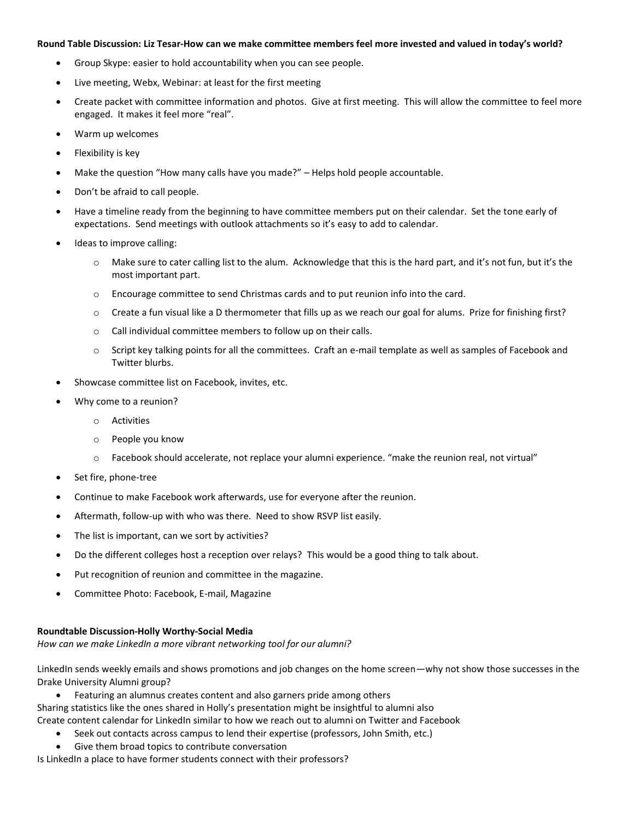#### **Round Table Discussion: Liz Tesar-How can we make committee members feel more invested and valued in today's world?**

- Group Skype: easier to hold accountability when you can see people.
- Live meeting, Webx, Webinar: at least for the first meeting
- Create packet with committee information and photos. Give at first meeting. This will allow the committee to feel more engaged. It makes it feel more "real".
- Warm up welcomes
- Flexibility is key
- Make the question "How many calls have you made?" Helps hold people accountable.
- Don't be afraid to call people.
- Have a timeline ready from the beginning to have committee members put on their calendar. Set the tone early of expectations. Send meetings with outlook attachments so it's easy to add to calendar.
- Ideas to improve calling:
	- $\circ$  Make sure to cater calling list to the alum. Acknowledge that this is the hard part, and it's not fun, but it's the most important part.
	- o Encourage committee to send Christmas cards and to put reunion info into the card.
	- o Create a fun visual like a D thermometer that fills up as we reach our goal for alums. Prize for finishing first?
	- o Call individual committee members to follow up on their calls.
	- o Script key talking points for all the committees. Craft an e-mail template as well as samples of Facebook and Twitter blurbs.
- Showcase committee list on Facebook, invites, etc.
- Why come to a reunion?
	- o Activities
	- o People you know
	- o Facebook should accelerate, not replace your alumni experience. "make the reunion real, not virtual"
- Set fire, phone-tree
- Continue to make Facebook work afterwards, use for everyone after the reunion.
- Aftermath, follow-up with who was there. Need to show RSVP list easily.
- The list is important, can we sort by activities?
- Do the different colleges host a reception over relays? This would be a good thing to talk about.
- Put recognition of reunion and committee in the magazine.
- Committee Photo: Facebook, E-mail, Magazine

#### **Roundtable Discussion-Holly Worthy-Social Media**

*How can we make LinkedIn a more vibrant networking tool for our alumni?*

LinkedIn sends weekly emails and shows promotions and job changes on the home screen—why not show those successes in the Drake University Alumni group?

- Featuring an alumnus creates content and also garners pride among others
- Sharing statistics like the ones shared in Holly's presentation might be insightful to alumni also
- Create content calendar for LinkedIn similar to how we reach out to alumni on Twitter and Facebook
	- Seek out contacts across campus to lend their expertise (professors, John Smith, etc.)
	- Give them broad topics to contribute conversation

Is LinkedIn a place to have former students connect with their professors?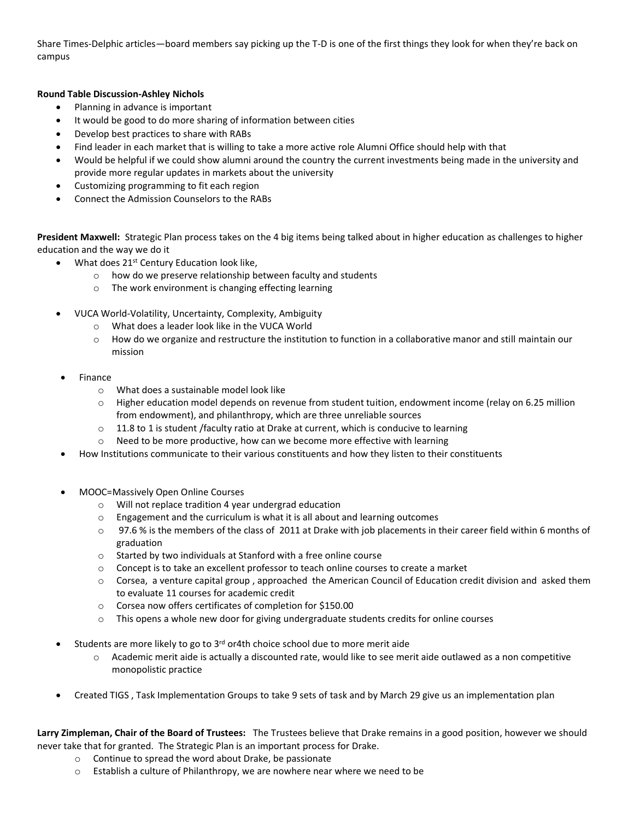Share Times-Delphic articles—board members say picking up the T-D is one of the first things they look for when they're back on campus

## **Round Table Discussion-Ashley Nichols**

- Planning in advance is important
- It would be good to do more sharing of information between cities
- Develop best practices to share with RABs
- Find leader in each market that is willing to take a more active role Alumni Office should help with that
- Would be helpful if we could show alumni around the country the current investments being made in the university and provide more regular updates in markets about the university
- Customizing programming to fit each region
- Connect the Admission Counselors to the RABs

**President Maxwell:** Strategic Plan process takes on the 4 big items being talked about in higher education as challenges to higher education and the way we do it

- What does 21<sup>st</sup> Century Education look like,
	- o how do we preserve relationship between faculty and students
	- o The work environment is changing effecting learning
- VUCA World-Volatility, Uncertainty, Complexity, Ambiguity
	- o What does a leader look like in the VUCA World
	- $\circ$  How do we organize and restructure the institution to function in a collaborative manor and still maintain our mission
- Finance
	- o What does a sustainable model look like
	- o Higher education model depends on revenue from student tuition, endowment income (relay on 6.25 million from endowment), and philanthropy, which are three unreliable sources
	- $\circ$  11.8 to 1 is student /faculty ratio at Drake at current, which is conducive to learning
	- o Need to be more productive, how can we become more effective with learning
- How Institutions communicate to their various constituents and how they listen to their constituents
- MOOC=Massively Open Online Courses
	- o Will not replace tradition 4 year undergrad education
	- o Engagement and the curriculum is what it is all about and learning outcomes
	- $\circ$  97.6% is the members of the class of 2011 at Drake with job placements in their career field within 6 months of graduation
	- o Started by two individuals at Stanford with a free online course
	- o Concept is to take an excellent professor to teach online courses to create a market
	- o Corsea, a venture capital group , approached the American Council of Education credit division and asked them to evaluate 11 courses for academic credit
	- o Corsea now offers certificates of completion for \$150.00
	- $\circ$  This opens a whole new door for giving undergraduate students credits for online courses
- Students are more likely to go to  $3<sup>rd</sup>$  or4th choice school due to more merit aide
	- o Academic merit aide is actually a discounted rate, would like to see merit aide outlawed as a non competitive monopolistic practice
- Created TIGS , Task Implementation Groups to take 9 sets of task and by March 29 give us an implementation plan

**Larry Zimpleman, Chair of the Board of Trustees:** The Trustees believe that Drake remains in a good position, however we should never take that for granted. The Strategic Plan is an important process for Drake.

- o Continue to spread the word about Drake, be passionate
- o Establish a culture of Philanthropy, we are nowhere near where we need to be